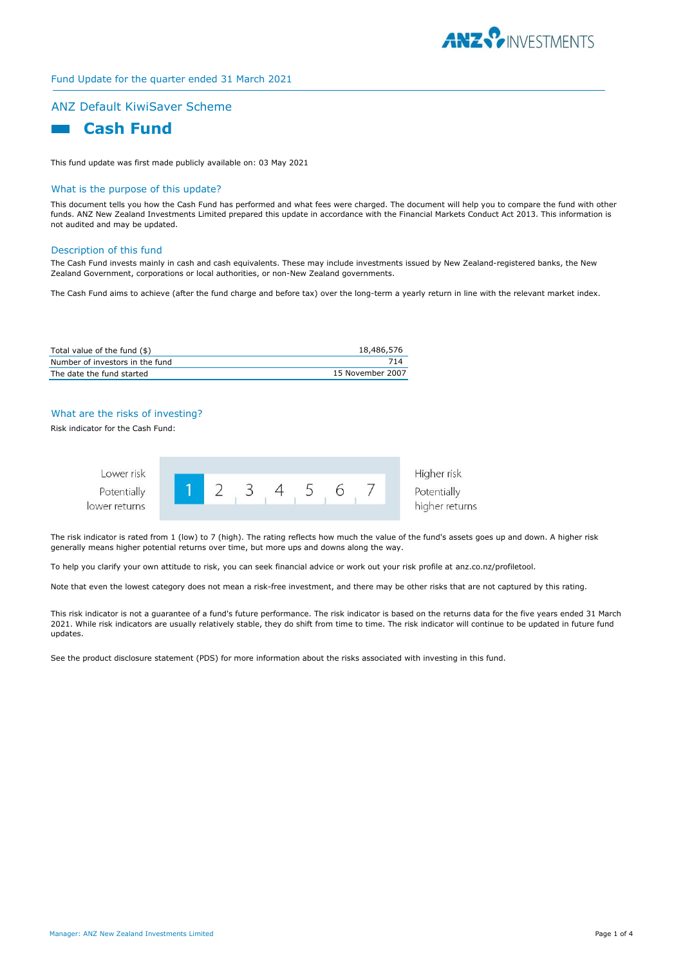

# Fund Update for the quarter ended 31 March 2021

## ANZ Default KiwiSaver Scheme



This fund update was first made publicly available on: 03 May 2021

#### What is the purpose of this update?

This document tells you how the Cash Fund has performed and what fees were charged. The document will help you to compare the fund with other funds. ANZ New Zealand Investments Limited prepared this update in accordance with the Financial Markets Conduct Act 2013. This information is not audited and may be updated.

#### Description of this fund

The Cash Fund invests mainly in cash and cash equivalents. These may include investments issued by New Zealand-registered banks, the New Zealand Government, corporations or local authorities, or non-New Zealand governments.

The Cash Fund aims to achieve (after the fund charge and before tax) over the long-term a yearly return in line with the relevant market index.

| Total value of the fund (\$)    | 18,486,576       |
|---------------------------------|------------------|
| Number of investors in the fund | 714              |
| The date the fund started       | 15 November 2007 |

# What are the risks of investing?

Risk indicator for the Cash Fund:



The risk indicator is rated from 1 (low) to 7 (high). The rating reflects how much the value of the fund's assets goes up and down. A higher risk generally means higher potential returns over time, but more ups and downs along the way.

To help you clarify your own attitude to risk, you can seek financial advice or work out your risk profile at anz.co.nz/profiletool.

Note that even the lowest category does not mean a risk-free investment, and there may be other risks that are not captured by this rating.

This risk indicator is not a guarantee of a fund's future performance. The risk indicator is based on the returns data for the five years ended 31 March 2021. While risk indicators are usually relatively stable, they do shift from time to time. The risk indicator will continue to be updated in future fund updates.

See the product disclosure statement (PDS) for more information about the risks associated with investing in this fund.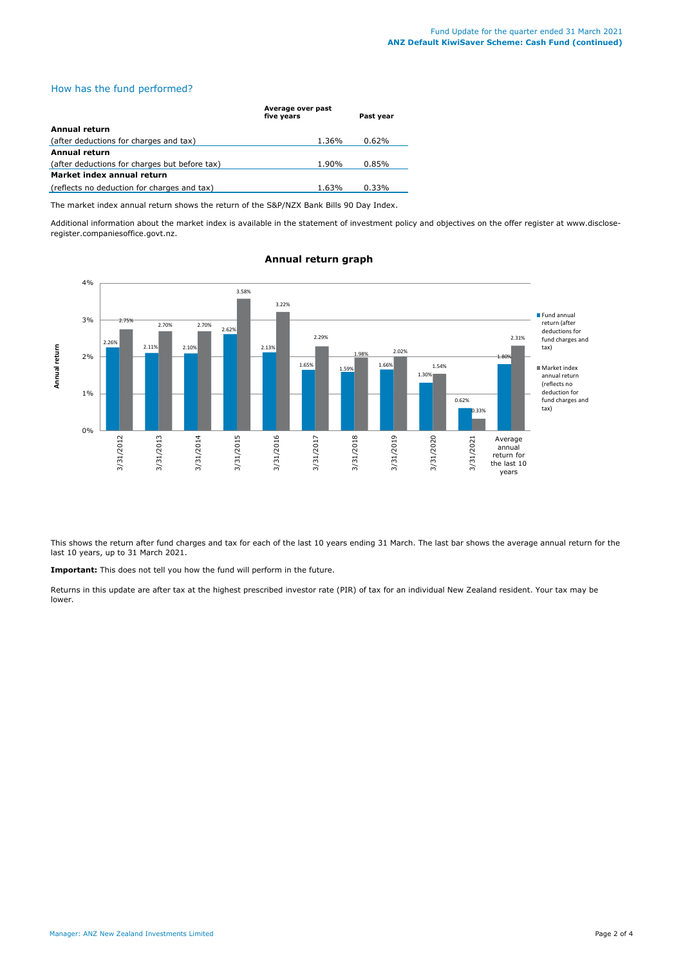# How has the fund performed?

|                                               | Average over past<br>five years | Past year |
|-----------------------------------------------|---------------------------------|-----------|
| Annual return                                 |                                 |           |
| (after deductions for charges and tax)        | 1.36%                           | 0.62%     |
| <b>Annual return</b>                          |                                 |           |
| (after deductions for charges but before tax) | 1.90%                           | 0.85%     |
| Market index annual return                    |                                 |           |
| (reflects no deduction for charges and tax)   | 1.63%                           | 0.33%     |

The market index annual return shows the return of the S&P/NZX Bank Bills 90 Day Index.

Additional information about the market index is available in the statement of investment policy and objectives on the offer register at www.discloseregister.companiesoffice.govt.nz.



## **Annual return graph**

This shows the return after fund charges and tax for each of the last 10 years ending 31 March. The last bar shows the average annual return for the last 10 years, up to 31 March 2021.

**Important:** This does not tell you how the fund will perform in the future.

Returns in this update are after tax at the highest prescribed investor rate (PIR) of tax for an individual New Zealand resident. Your tax may be lower.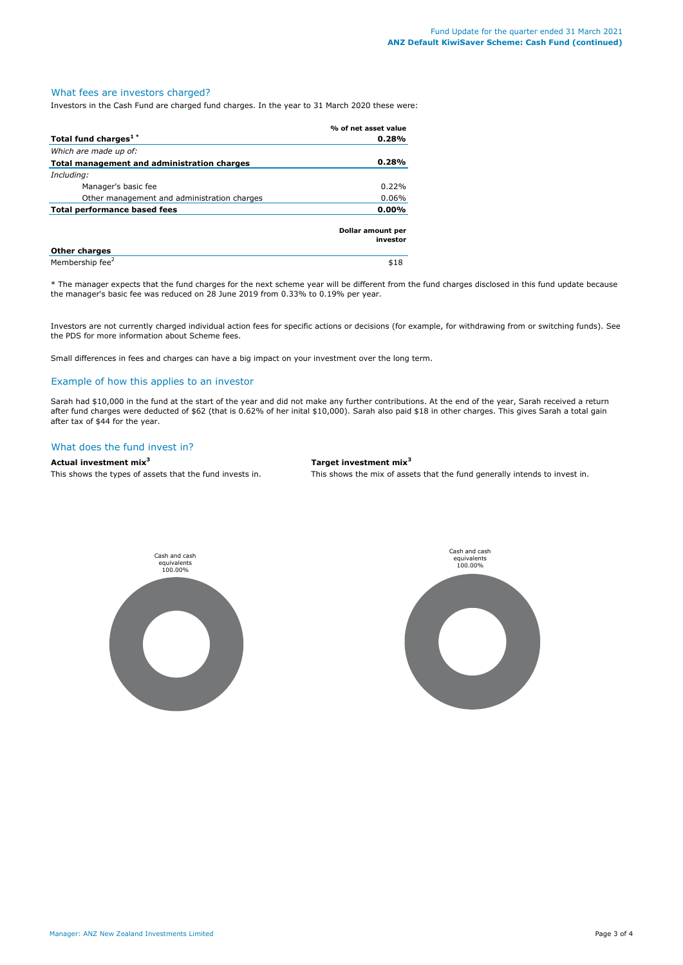## What fees are investors charged?

Investors in the Cash Fund are charged fund charges. In the year to 31 March 2020 these were:

|                                             | % of net asset value          |
|---------------------------------------------|-------------------------------|
| Total fund charges <sup>1*</sup>            | 0.28%                         |
| Which are made up of:                       |                               |
| Total management and administration charges | 0.28%                         |
| Including:                                  |                               |
| Manager's basic fee                         | 0.22%                         |
| Other management and administration charges | $0.06\%$                      |
| $0.00\%$<br>Total performance based fees    |                               |
|                                             | Dollar amount per<br>investor |
| <b>Other charges</b>                        |                               |
| Membership fee <sup>2</sup>                 | \$18                          |

\* The manager expects that the fund charges for the next scheme year will be different from the fund charges disclosed in this fund update because the manager's basic fee was reduced on 28 June 2019 from 0.33% to 0.19% per year.

Investors are not currently charged individual action fees for specific actions or decisions (for example, for withdrawing from or switching funds). See the PDS for more information about Scheme fees.

Small differences in fees and charges can have a big impact on your investment over the long term.

## Example of how this applies to an investor

Sarah had \$10,000 in the fund at the start of the year and did not make any further contributions. At the end of the year, Sarah received a return after fund charges were deducted of \$62 (that is 0.62% of her inital \$10,000). Sarah also paid \$18 in other charges. This gives Sarah a total gain after tax of \$44 for the year.

### What does the fund invest in?

# **Actual investment mix<sup>3</sup> Target investment mix<sup>3</sup>**

This shows the types of assets that the fund invests in. This shows the mix of assets that the fund generally intends to invest in.